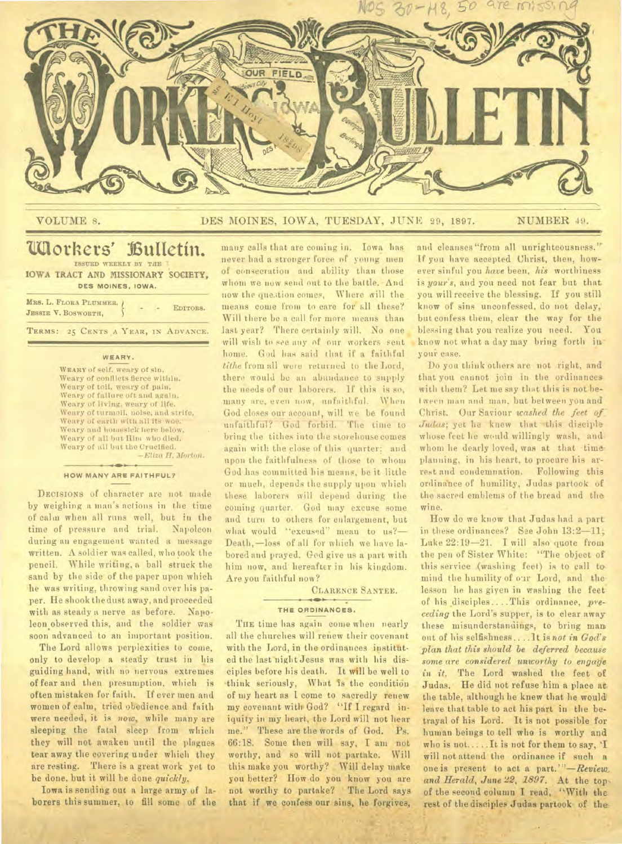

# VOLUME 8. DES MOINES, IOWA, TUESDAY, JUNE 29, 1897. NUMBER 49.

# **Workers' 13utietin. ISSUED WEEKLY BY THE IOWA TRACT AND MISSIONARY SOCIETY,**

**DES MOINES. IOWA.** 

| MRS. L. FLORA PLUMMER, )<br>JESSIE V. BOSWORTH, |  | EDITORS. |
|-------------------------------------------------|--|----------|
|                                                 |  |          |

**TERMS: 25 CENTS A YEAR, IN ADVANCE.** 

### **WEARY.**

**WEARY** of self. weary of sin, Weary of conflicts fierce within. Weary of toil, weary of pain, Weary of failure oft and again. Weary of living, weary of life. Weary of turmoil, noise, and strife, Weary of earth with all its woe. Weary and homesick here below. Weary of all but Him who died. Weary of all but the Crucified. *—Eliza H. Morton.* 

#### **HOW MANY ARE FAITHFUL?**

DECISIONS of character are not made by weighing a man's actions in the time of calm when all runs well, but in the time of pressure and trial. Napoleon during an engagement wanted a message written. A soldier was called, who took the pencil. While writing, a ball struck the sand by the side of the paper upon which he was writing, throwing sand over his paper. He shook the dust away, and proceeded with as steady a nerve as before. Napoleon observed this, and the soldier was soon advanced to an important position.

The Lord allows perplexities to come, only to develop a steady trust in his guiding hand, with no nervous extremes of fear and then presumption, which is often mistaken for faith. If ever men and women of calm, tried obedience and faith were needed, it is *now,* while many are sleeping the fatal sleep from which they will not awaken until the plagues tear away the covering under which they are resting. There is a great work yet to be done, but it will be done *quickly.* 

Iowa is sending out a large army of laborers this summer, to fill some of the

many calls that are coming in. Iowa has never had a stronger force of young men of consecration and ability than those whom we now send out to the battle.• And now the question comes, Where will the means come from to care for all these? Will there be a call for more means than last year? There certainly will. No one will wish to *see* any of our workers sent home. God has said that if *a* faithful *tithe* from all were returned to the Lord, there would be an abundance to supply the needs of our laborers. If this is so, many are, even now, unfaithful. When God closes our account, will we be found unfaithful? God forbid. The time to bring the tithes into the storehouse comes again with the close of this quarter; and upon the faithfulness of those to whom God has committed his means, be it little or much, depends the supply upon which these laborers will depend during the coming quarter. God may excuse some and turn to others for enlargement, but what would "excused" mean to us?-Death, —loss of all for which we have labored and prayed. God give us a part with him now, and hereafter in his kingdom. Are you faithful now?

CLARENCE SANTEE.

### **THE ORDINANCES. .**

THE time has again come when nearly all the churches will renew their covenant with the Lord, in the ordinances instituted the last night Jesus was with his disciples before his death. It will be well to think seriously, What is the condition of my heart as I come to sacredly renew my covenant with God? "If I regard iniquity in my heart, the Lord will not hear me." These are the words of God. Ps. 66:18. Sonic then will say, I am not worthy, and so will not partake. Will this make you worthy? Will delay make you better? How do you know you are not worthy to partake? The Lord says that if we confess our sins, he forgives,

and cleanses "from all unrighteousness." If you have accepted Christ, then, however sinful you *have* been, *his* worthiness is *your's,* and you need not fear but that you will receive the blessing. If you still know of sins unconfessed, do not delay, but confess them, clear the way for the blessing that you realize you need. You. know not what a day may bring forth in \_ your case.

Do you think others are not right, and that you cannot join in the ordinances with them? Let me say that this is not between man and man, but between you and Christ. Our Saviour *washed the . feet of.- Judas*; yet he knew that this disciple whose feet he would willingly wash, and. whom he dearly loved, was at that timeplanning, in his heart, to procure his arrest and condemnation. Following this ordinance of humility, Judas partook of the sacred emblems of the bread and the wine.

How do we know that Judas had a part in these ordinances? See John 13:2-11; Luke 22:19-21. I will also quote from the pen of Sister White: "The object of this service (washing feet) is to call to mind the humility of our Lord, and the: lesson he has given in washing the feet of his disciples.. .. This ordinance, *preceding* the Lord's supper, is to clear away these misunderstandings, to bring man out of his selfishness ..lt is *not in God's phut that this should be deferred because some are considered unworthy to engage*  in it. The Lord washed the feet of Judas, He did not refuse him a place at, the table, although he knew that he would leave that table to act his part in the betrayal of his Lord. It is not possible for human beings to tell who is worthy and who is not... ..It is not for them to say, 'I will not attend the ordinance if such a one is present to act a part.'"—Review, *and Herald, June 22, 1897.* At the top, of the second column I read, "With the rest of the disciples Judas partook of the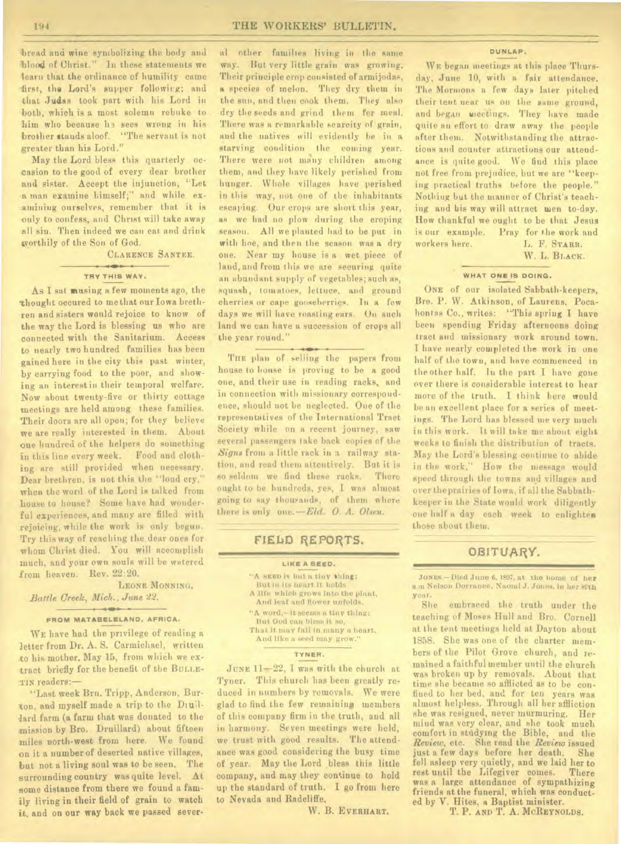bread and wine symbolizing the body and -blood of Christ." In these statements we learn that the ordinance of humility came first, the Lord's supper following; and that Judas took part with his Lord in both, which is a most solemn rebuke to him who because he sees wrong in his brother stands aloof. "The servant is not greater than his Lord."

May the Lord bless this quarterly occasion to the good of every dear brother and sister. Accept the injunction, "Let a man examine himself;" and while examining ourselves, remember that it is only to confess, and Christ will take away all sin. Then indeed we can eat and drink xvorthily of the Son of God.

# CLARENCE SANTEE.

#### $-100 - 1$ **TRY THIS WAY.**

As I sat musing a few moments ago, the thought occured to me that our Iowa brethren and sisters would rejoice to know of the way the Lord is blessing us who are connected with the Sanitarium. Access to nearly two hundred families has been gained here in the city this past winter, by carrying food to the poor, and showing an interest in their temporal welfare. Now about twenty-five or thirty cottage meetings are held among these families. Their doors are all open; for they believe we are really interested in them. About one hundred of the helpers do something in this line every week. Food and clothing are still provided when necessary. Dear brethren, is not this the "loud cry," when the word of the Lord is talked from house to house? Some have had wonderful experiences, and many are filled with rejoicing, while the work is only begun. Try this way of reaching the. dear ones for whom Christ died. You will accomplish much, and your own souls will be watered from heaven. Rev. 22:20.

LEONE MONNING. *Battle Creek, Mich., June 22.* 

#### **- Mr • FROM MATABELELAND. AFRICA.**

WE have had the privilege of reading a letter from Dr. A. S. Carmichael, written to his mother, May 15, from which we extract briefly for the benefit of the BULLE-TIN readers:—

"Last week Ben. Tripp, Anderson, Burton, and myself made a trip to the Druillard farm (a farm that was donated to the mission by Bro. Druillard) about fifteen miles north-west from here. We found on it a number of deserted native villages, but not a living soul was to be seen. The surrounding country was quite level. At some distance from there we found a family living in their field of grain to watch it, and on our way back we passed sever-

al other families living in the same way. But very little grain was growing. Their principle crop consisted of armijodas, a species of melon. They dry them in the sun, and then cook them. They also dry the seeds and grind them for meal. There was a remarkable scarcity of grain, and the natives will evidently be in a starving condition the coming year. There were not many children among them, and they have likely perished from hunger. Whole villages have perished in this way, not one of the inhabitants escaping. Our crops are short this year, as we had no plow during the croping season. All we planted had to be put in with hoe, and then the season was a dry one. Near my house is a wet piece of land, and from this we are securing quite an abundant supply of vegetables; such as, squash, tomatoes, lettuce, and ground cherries or cape gooseberries. In a few days we will have roasting ears. On such land we can have a succession of crops all the year round."

THE plan of selling the papers from house to house is proving to be a good one, and their use in reading racks, and in connection with missionary correspondence, should not be neglected. One of the representatives of the International Tract Society while on a recent journey, saw several passengers take back copies of the *Signs* from a little rack in a railway station, and read them attentively. But it is so seldom we find these racks. There ought to be hundreds, yes, I was almost going to say thoupands, of them where there is only one. *—Eld. 0. A. Olsen.* 

# FIELD REPORTS.

#### **LIKE A SEED.**

- "A SEED is but a tiny thing; But in its heart it holds A life which grows into the plant, And leaf and flower unfolds. "A word,—it seems a tiny thing; But God can bless it so, That it may fall in many a heart.
	- And like a seed may grow."

#### **TYNER.**

JUNE 11-22, I was with the church at Tyner. This church has been greatly reduced in numbers by removals. We were glad to find the few remaining members of this company firm in the truth, and all in harmony. Seven meetings were held, we trust with good results. The attendance was good considering the busy time of year. May the Lord bless this little company, and may they continue to hold up the standard of truth. I go from here to Nevada and Radcliffe.

W. B. EVERHART.

**DUNLAP.** 

WE began meetings at this place Thursday, June 10, with a fair attendance. The Mormons a few days later pitched their tent near us on the same ground, and began meetings. They have made quite an effort to draw away the people after them. Notwithstanding the attractions and counter attractions our attendance is quite good. We find this place not free from prejudice, but we are "keeping practical truths before the people." Nothing but the manner of Christ's teaching and his way will attract wen to-day. How thankful we ought to be that Jesus is our example. Pray for the work and workers here. J., F. STARR.

W. L. BLACK.

## **WHAT ONE IS DOING.**

ONE of our isolated Sabbath-keepers, Bre. P. W. Atkinson, of Laurens, Pocahontas Co., writes: "This spring I have been spending Friday afternoons doing tract and missionary work around town. I have nearly completed the work in one half of the town, and have commenced in the other half. In the part I have gone over there is considerable interest to hear more of the truth. I think here would be an excellent place for a series of meetings. The Lord has blessed me very much in this work. It will take me about eight weeks to finish the distribution of tracts. May the Lord's blessing continue to abide in the work," How the message would speed through the towns and villages and over theprairies of Iowa, if all the Sabbathkeeper in the State would work diligently one half a day each week to enlighten those about them.

# OBITUARY.

JONES.—Died June 6, 1697, at the home of her **in** Nelson Dorrance, Naomi J. Jones, in her 89th year.

She. embraced the truth under the teaching of Moses Hull and Bro. Cornell at the tent meetings held at Dayton about 1858. She was one of the charter members of the Pilot Grove church, and remained a faithful member until the church was broken up by removals. About that time she became so afflicted as to be confined to her bed, and for ten years was almost helpless. Through all her affliction she was resigned, never murmuring. Her mind was very clear, and she took much comfort in studying the Bible, and the *Review,* etc. She read the *Review* issued just a few days before her death. fell asleep very quietly, and we laid her to rest until the Lifegiver comes. There was a large attendance of sympathizing friends at the funeral, which was conducted by V. Hites, a Baptist minister.

T. P. AND T. A. MCREYNOLDS.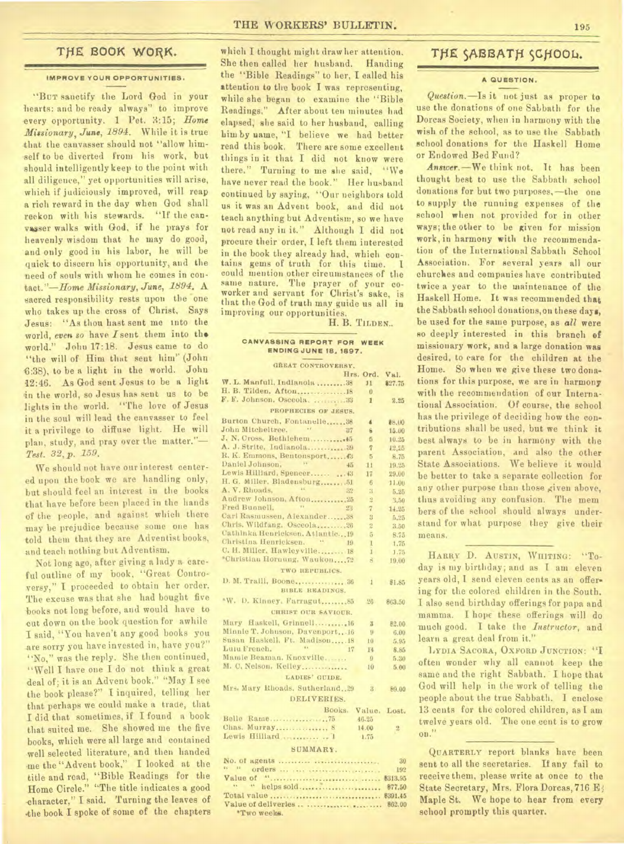#### **IMPROVE YOUR OPPORTUNITIES.**

"Buy sanctify the Lord God in your hearts: and be ready always" to improve every opportunity. **1** Pet. 3:15; *Home Missionary, June, 1894.* While it is true that the canvasser should not "allow him- -self to be diverted from his work, but should intelligently keep to the point with all diligence," yet opportunities will arise, which if judiciously improved, will reap a rich reward in the day when God shall reckon with his stewards. "If the canvasser walks with God, if he prays for heavenly wisdom that he may do good, and only good in his labor, he will be quick to discern his opportunity, and the need of souls with whom he comes in con*tact."-Home Missionary, June, 1894.* A sacred responsibility rests upon the one who takes up the cross of Christ, Says Jesus: "As thou hast sent me into the world, *even so* have Isent them into tho world." John 17:18. Jesus came to do "the will of Him that sent him" (John S:38), to be a light in the world. John 42:46. As God sent Jesus to be a light in the world, so Jesus has sent us to be lights in the world. "'The love of Jesus in the soul will lead the canvasser to feel it a privilege to diffuse light. He will plan, study, and pray over the matter."-*Test. 32, p. 159.* 

We should not have our interest centered upon the book we are handling only, but should feel an interest in the books that have before been placed in the hands Of the people, and against which there may be prejudice because some one has told them that they are Adventist books, and teach nothing but Adventism.

Not long ago, after giving a lady a careful outline of my book, "Great Controversy," I proceeded to obtain her order. The excuse was that she had bought five books not long before, and would have to cut down on the book question for awhile I said, "You haven't any good books you are sorry you have invested in, have you?" "No," was the reply. She then continued, "Well I have one I do not think a great deal of; it is an Advent book." "May I see the book please?" I inquired, telling her that perhaps we could make a trade, that I did that sometimes, if I found a book that suited me. She showed me the five books, which were all large and contained well selected literature, and then handed me the "Advent book," I looked at the title and road, "Bible Readings for the Home Circle." "The title indicates a good character," I said. Turning the leaves of .the book **I spoke of** some of the chapters

THE BOOK WORK. Which I thought might draw her attention. THE SABBATH SCHOOL. She then called her husband. Handing the "Bible Readings" to her, I called his attention to the book I was representing, while she began to examine the "Bible Readings." After about ten minutes had elapsed, she said to her husband, calling Lim by name, "I believe we had better read this book. There are some excellent things in it that I did not know were there." Turning to me she said, "We have never read the book." Her husband continued by saying, "Our neighbors told us it was an Advent book, and did not teach anything but Adventism, so we have not read any iu it." Although I did not procure their order, I left them interested in the book they already had, which contains gems of truth for this time. could mention other circumstances of the same nature. The prayer of your coworker and servant for Christ's sake, is that the God of truth may guide us all in improving our opportunities.

H. B. TILDEN...

#### **CANVASSINa REPORT FOR WEEK ENDING JUNE 18.1897.**

| GREAT CONTROVERSY.                                          |                  |                |  |
|-------------------------------------------------------------|------------------|----------------|--|
|                                                             | Hrs. Ord.        | Val.           |  |
| W. L. Manfull, Indianola  38                                | 11               | \$27.75        |  |
| H. B. Tilden, Afton18                                       | $\overline{0}$   |                |  |
| F. F. Johnson. Osceola.  33                                 | $\mathbf{1}$     | 2.25           |  |
| PROPHECIES OF JESUS.                                        |                  |                |  |
| Burton Church, Fontanelle 38                                |                  |                |  |
| John Mitcheltree.<br>117                                    | ă                | 88.00          |  |
| J. N. Cross, Bethlehem45                                    | 8                | 15.00          |  |
| A. J. Strite, Indianola 39                                  | $\overline{5}$   | 10.25          |  |
| R. K. Emmons, Bentonsport 3                                 | $\overline{7}$   | 12,25          |  |
| $ y_k$<br>Daniel Johnson,                                   | 5                | 8.75           |  |
| 45                                                          | 11               | 19.25          |  |
|                                                             | 17               | 29,00          |  |
| H. G. Miller, Bladensburg51                                 | 6                | 11.00          |  |
| A, V. Rhoads,<br>32                                         | ä.               | 5.25           |  |
|                                                             | $\overline{2}$   | 3.50           |  |
| Fred Bunnell, "<br>28                                       | $\overline{7}$   | 14.25          |  |
| Carl Rasmussen, Alexander38                                 | 8                | 5.25           |  |
| Chris, Wildfang, Osceola26                                  | $\overline{2}$   | 3.50           |  |
| Cathinka Henricksen, Atlantic 19<br>Christina Henricksen. " | $\overline{5}$   | 8.75           |  |
| 19                                                          | $\mathbf{I}$     | 1.75           |  |
| C. H. Miller. Hawleyville 18                                | $\mathbf{1}$     | 1.75           |  |
| *Christian Hornung, Waukon72                                | $\tilde{\kappa}$ | 19.00          |  |
| TWO REPUBLICS.                                              |                  |                |  |
| D. M. Traill, Boone 36                                      | $\mathbf{1}$     | \$1.85         |  |
| BIBLE READINGS.                                             |                  |                |  |
| *W. D. Kinney, Farragut 85                                  | 26 <sub>2</sub>  | 863.50         |  |
| <b>CHRIST OUR SAVIOUR.</b>                                  |                  |                |  |
|                                                             |                  |                |  |
| Mary Haskell, Grinnell16                                    | $\mathbf{X}$     | 患2.00          |  |
| Minnie T. Johnson, Davenport, 16                            | $\mathbf{y}$     | 6.00           |  |
| Susan Haskell, Ft. Madison 18                               | 10 <sup>1</sup>  | 5.95           |  |
| $-144$<br>Lulu French.<br>17                                | 14               | 8.85           |  |
| Mamie Beaman, Knoxville                                     | 9                | 5,30           |  |
| M. C. Nelson, Kelley                                        | 10 <sup>10</sup> | 5.00           |  |
| LADIES' GUIDE.                                              |                  |                |  |
| Mrs. Mary Rhoads, Sutherland, 29                            | $\mathbf{a}$     | \$9.00         |  |
| DELIVERIES.                                                 |                  |                |  |
|                                                             |                  |                |  |
| Books, Value, Lost,                                         |                  |                |  |
|                                                             | 46.25            |                |  |
| Chas. Murray 8                                              | 14.00            | $\overline{2}$ |  |
| Lewis Hilliard  1                                           | 1.75             |                |  |
| SUMMARY.                                                    |                  |                |  |
|                                                             |                  | 30             |  |
| $44 - 34$                                                   |                  | 192            |  |
|                                                             |                  |                |  |
|                                                             |                  |                |  |

" " helps sold 177.50 Total value \$391.45 Value of deliveries .. ............... ........ \$62.00 \*Two week\*.

#### **A QUESTION.**

*Question.-Is* it not just as proper to use the donations of one Sabbath for the Dorcas Society, when in harmony with the wish of the school, as to use the Sabbath school donations for the Haskell Home or Endowed Bed Fund?

*Answer.-We* think not. It has been thought best to use the Sabbath school donations for but two purposes, -the one to supply the running expenses of the school when not provided for in other ways; the other to be given for mission work, in harmony with the recommendation of the International Sabbath School Association. For several years all our churckee and companies have contributed twice a year to the maintenance **of the**  Haskell Home. It was recommended that the Sabbath school donations,on these **days,**  be used for the same purpose, as *all* **were**  so deeply interested in this branch **of missionary** work, **and a large donation was desired,** to care for the children at the Home. So when we give these two donations for this purpose, we are in harmony with the recommendation of our International Association. Of course, the school has the privilege of deciding how the contributions shall be used, but we think it best always to be in harmony with the parent Association, and also the other State Associations. We believe it would be better to take a separate collection for any other purpose than those given above, thus avoiding any confusion. The mem hers of the school should always understand for what purpose they give their means.

HARRY D. AUSTIN, WHITING: "Today is my birthday; and as I am eleven years old, I send eleven cents as an offering for the colored children in the South. I also send birthday offerings for papa **and mamma. I** hope these offerings will do much good. I take the *Instructor,* **and learn** a great deal from it."

LYDIA SACORA, OXFORD JUNCTION: "I often wonder why all cannot keep the same and the right Sabbath. I hope that God will help in the work of telling the people about the true Sabbath. I enclose 13 cents for the colored children, as I am twelve years old. The one cent is to grow on."

QUARTERLY report blanks have been sent to all the secretaries. If any fail to receive them, please write at once to the State Secretary, Mrs. Flora Dorcas, 716 E **Maple St. We hope to hear from every school promptly this quarter.**